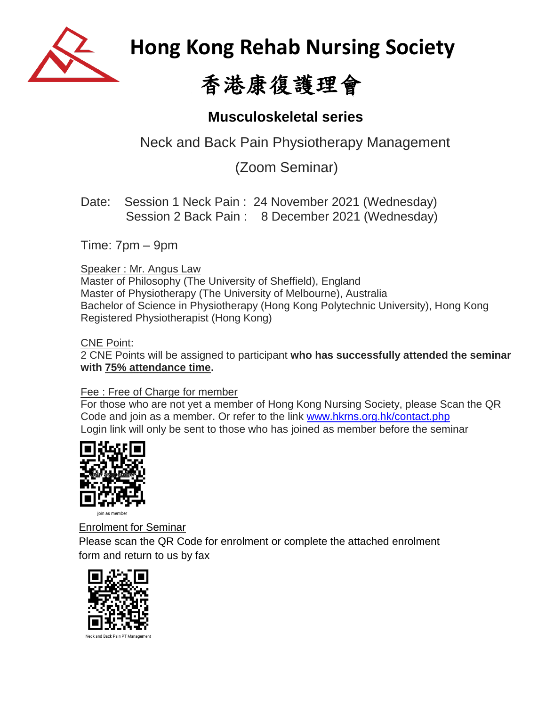

 **Hong Kong Rehab Nursing Society**

# 香港康復護理會

## **Musculoskeletal series**

Neck and Back Pain Physiotherapy Management

(Zoom Seminar)

Date: Session 1 Neck Pain : 24 November 2021 (Wednesday) Session 2 Back Pain : 8 December 2021 (Wednesday)

Time: 7pm – 9pm

### Speaker : Mr. Angus Law

Master of Philosophy (The University of Sheffield), England Master of Physiotherapy (The University of Melbourne), Australia Bachelor of Science in Physiotherapy (Hong Kong Polytechnic University), Hong Kong Registered Physiotherapist (Hong Kong)

#### CNE Point:

2 CNE Points will be assigned to participant **who has successfully attended the seminar with 75% attendance time.**

#### Fee : Free of Charge for member

For those who are not yet a member of Hong Kong Nursing Society, please Scan the QR Code and join as a member. Or refer to the link [www.hkrns.org.hk/contact.php](http://www.hkrns.org.hk/contact.php) Login link will only be sent to those who has joined as member before the seminar



 Enrolment for Seminar Please scan the QR Code for enrolment or complete the attached enrolment form and return to us by fax